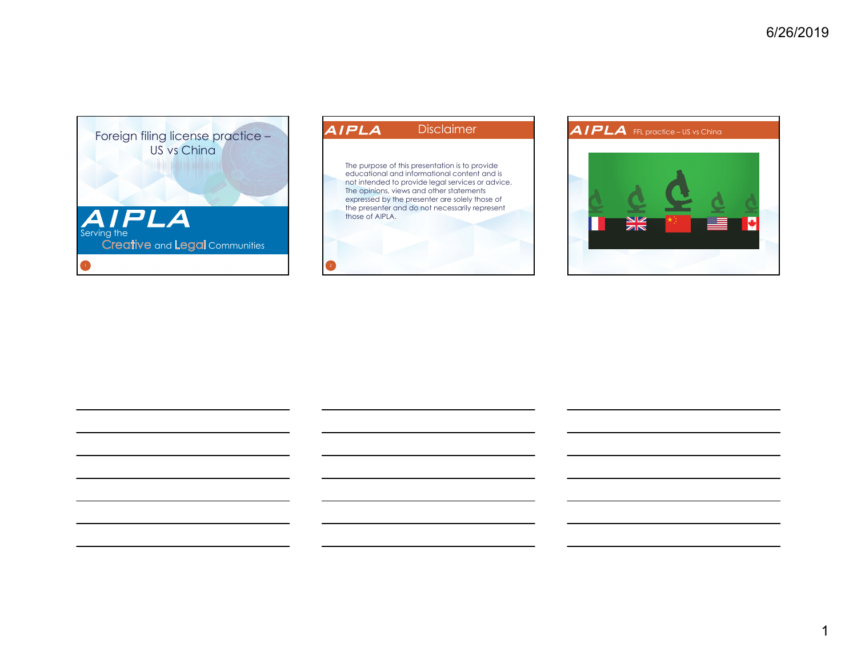



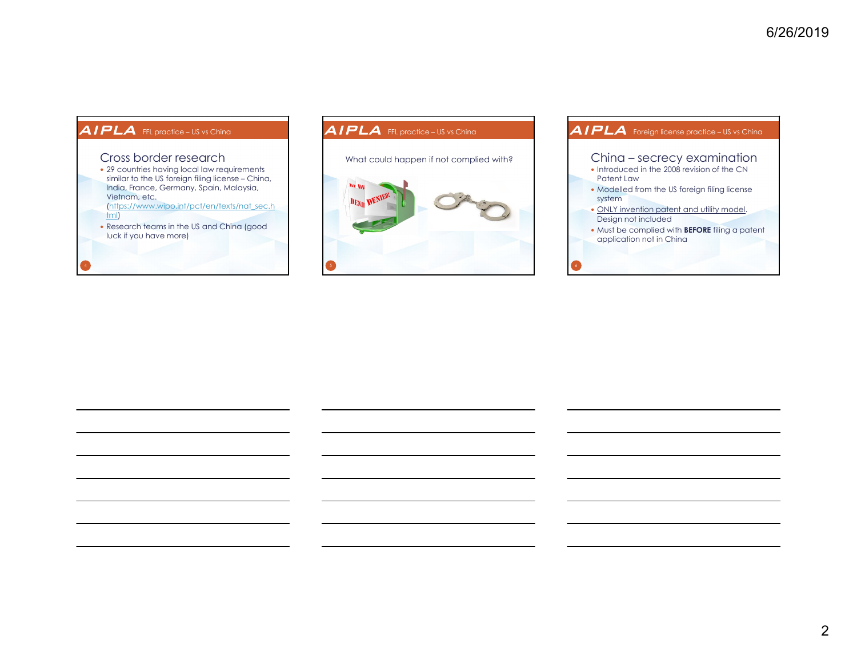### AIPLA FFL practice – US vs China

#### Cross border research

- 29 countries having local law requirements similar to the US foreign filing license – China, India, France, Germany, Spain, Malaysia, Vietnam, etc.
- (https://www.wipo.int/pct/en/texts/nat\_sec.h tml)
- Research teams in the US and China (good luck if you have more)

# AIPLA FFL practice – US vs China What could happen if not complied with?



#### • Introduced in the 2008 revision of the CN Patent Law• Modelled from the US foreign filing license system ONLY invention patent and utility model. Design not included Must be complied with **BEFORE** filing a patent application not in China AIPLA Foreign license practice – US vs China China – secrecy examination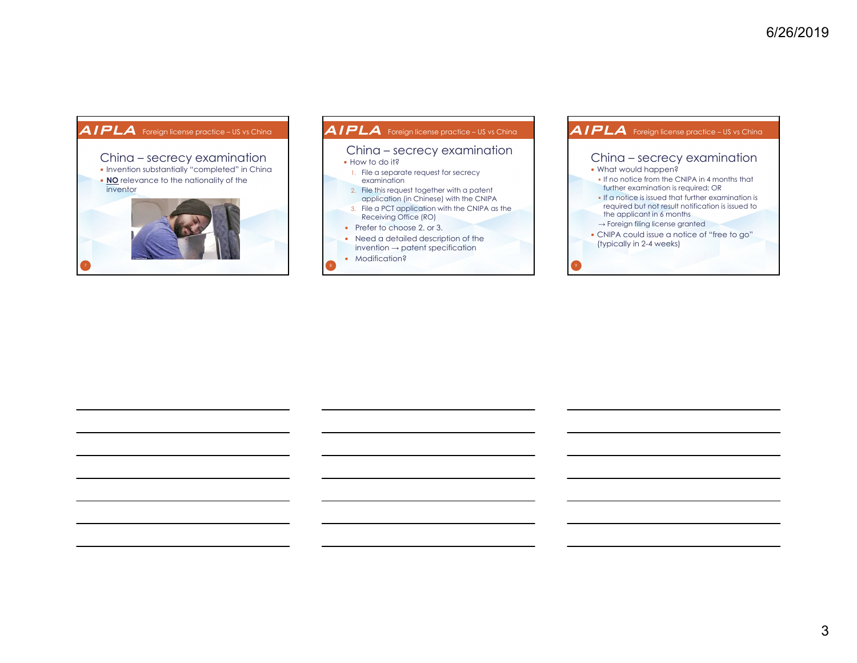### AIPLA Foreign license practice – US vs China



#### • How to do it? 1. File a separate request for secrecy examination 2. File this request together with a patent application (in Chinese) with the CNIPA 3. File a PCT application with the CNIPA as the Receiving Office (RO) • Prefer to choose 2. or 3. • Need a detailed description of the invention  $\rightarrow$  patent specification • Modification? AIPLA Foreign license practice – US vs China China – secrecy examination

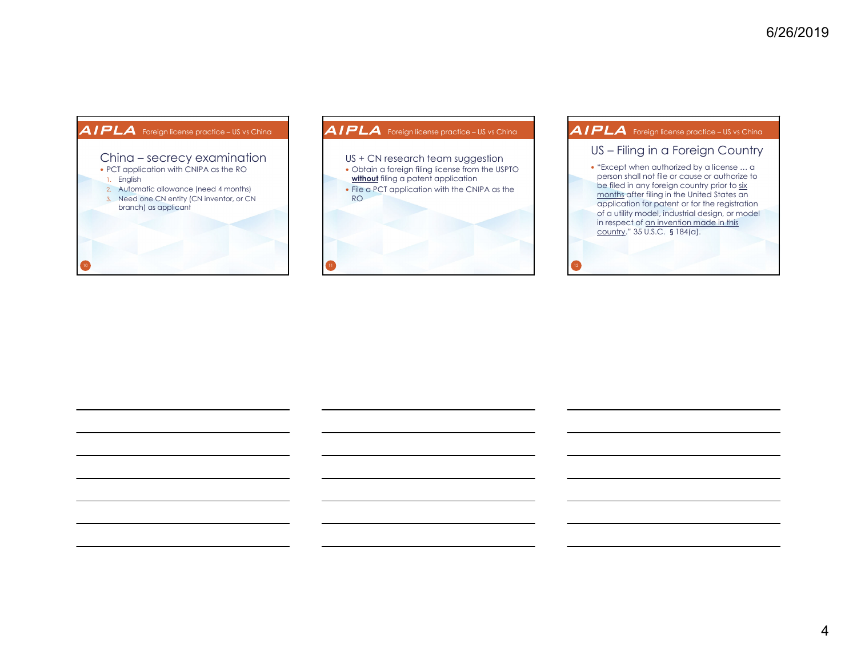# • PCT application with CNIPA as the RO AIPLA Foreign license practice – US vs China China – secrecy examination





## AIPLA Foreign license practice – US vs China

#### US – Filing in a Foreign Country

• "Except when authorized by a license ... a person shall not file or cause or authorize to be filed in any foreign country prior to six months after filing in the United States an application for patent or for the registration of a utility model, industrial design, or model in respect of an invention made in this country." 35 U.S.C. §184(a).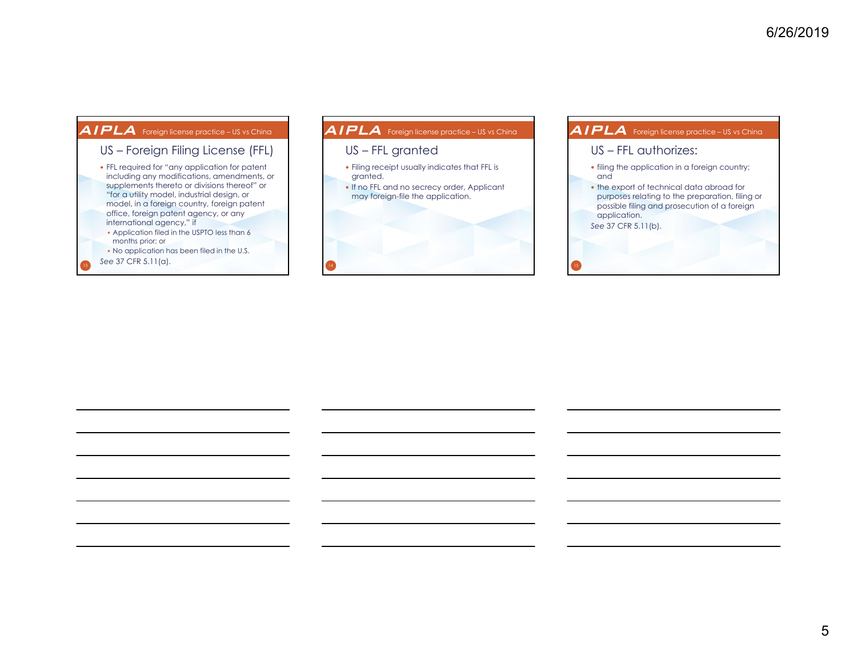### AIPLA Foreign license practice – US vs China





#### filing the application in a foreign country; and the export of technical data abroad for purposes relating to the preparation, filing or possible filing and prosecution of a foreign application. *See* 37 CFR 5.11(b). AIPLA Foreign license practice – US vs China US – FFL authorizes: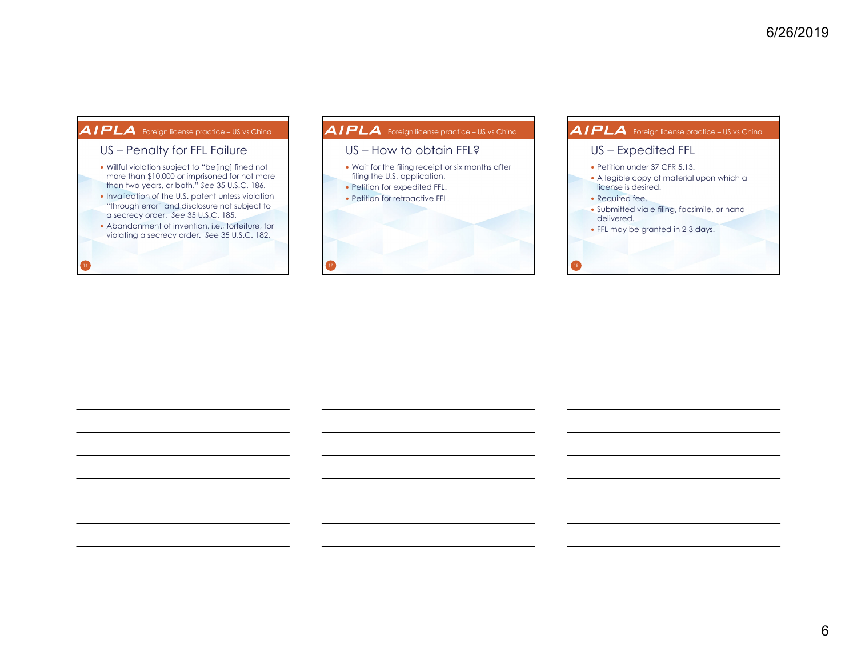### AIPLA Foreign license practice – US vs China

## US – Penalty for FFL Failure

- Willful violation subject to "be[ing] fined not more than \$10,000 or imprisoned for not more than two years, or both." *See* 35 U.S.C. 186.
- Invalidation of the U.S. patent unless violation "through error" and disclosure not subject to a secrecy order. *See* 35 U.S.C. 185.
- Abandonment of invention, i.e., forfeiture, for violating a secrecy order. *See* 35 U.S.C. 182.

# Wait for the filing receipt or six months after filing the U.S. application. • Petition for expedited FFL. • Petition for retroactive FFL. AIPLA Foreign license practice – US vs China US – How to obtain FFL?

#### • Petition under 37 CFR 5.13. A legible copy of material upon which a license is desired. • Required fee. Submitted via e-filing, facsimile, or handdelivered. FFL may be granted in 2-3 days. AIPLA Foreign license practice – US vs China US – Expedited FFL